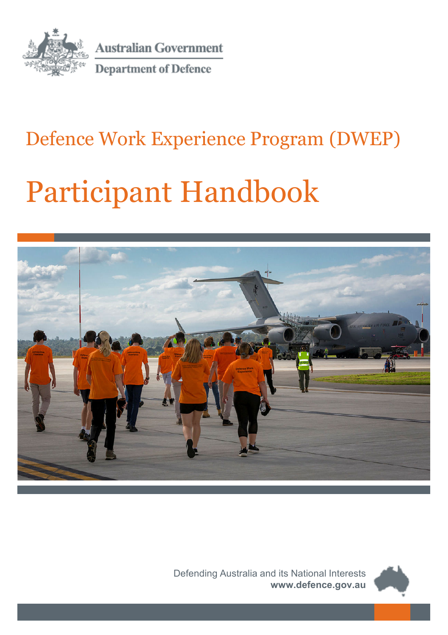

**Australian Government** 

**Department of Defence** 

### Defence Work Experience Program (DWEP)

# Participant Handbook



Defending Australia and its National Interests **www.defence.gov.au**

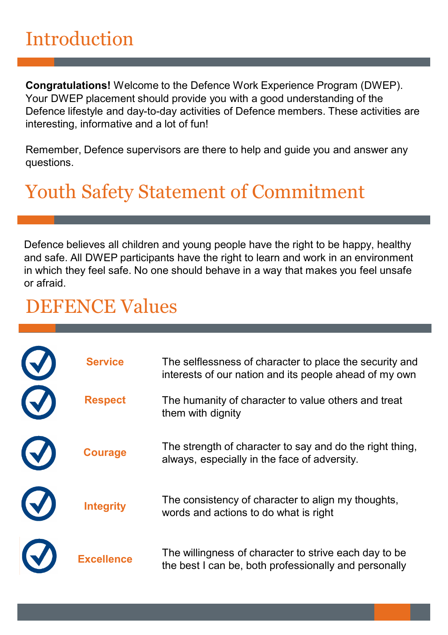### Introduction

**Congratulations!** Welcome to the Defence Work Experience Program (DWEP). Your DWEP placement should provide you with a good understanding of the Defence lifestyle and day-to-day activities of Defence members. These activities are interesting, informative and a lot of fun!

Remember, Defence supervisors are there to help and guide you and answer any questions.

### Youth Safety Statement of Commitment

Defence believes all children and young people have the right to be happy, healthy and safe. All DWEP participants have the right to learn and work in an environment in which they feel safe. No one should behave in a way that makes you feel unsafe or afraid.

#### DEFENCE Values

|            | <b>Service</b>    | The selflessness of character to place the security and<br>interests of our nation and its people ahead of my own |
|------------|-------------------|-------------------------------------------------------------------------------------------------------------------|
| $\bigcirc$ | <b>Respect</b>    | The humanity of character to value others and treat<br>them with dignity                                          |
| $\bigodot$ | <b>Courage</b>    | The strength of character to say and do the right thing,<br>always, especially in the face of adversity.          |
| $\bigodot$ | <b>Integrity</b>  | The consistency of character to align my thoughts,<br>words and actions to do what is right                       |
|            | <b>Excellence</b> | The willingness of character to strive each day to be<br>the best I can be, both professionally and personally    |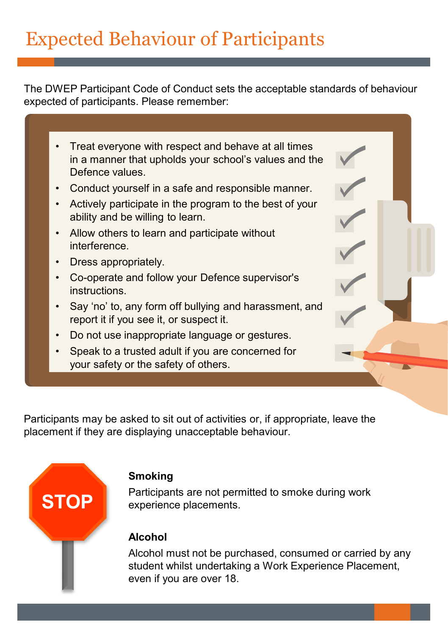## Expected Behaviour of Participants

The DWEP Participant Code of Conduct sets the acceptable standards of behaviour expected of participants. Please remember:

| Treat everyone with respect and behave at all times<br>in a manner that upholds your school's values and the<br>Defence values |  |
|--------------------------------------------------------------------------------------------------------------------------------|--|
| Conduct yourself in a safe and responsible manner.                                                                             |  |
| Actively participate in the program to the best of your<br>ability and be willing to learn.                                    |  |
| Allow others to learn and participate without<br>interference.                                                                 |  |
| Dress appropriately.                                                                                                           |  |
| Co-operate and follow your Defence supervisor's<br>instructions.                                                               |  |
| Say 'no' to, any form off bullying and harassment, and<br>report it if you see it, or suspect it.                              |  |
| Do not use inappropriate language or gestures.                                                                                 |  |
| Speak to a trusted adult if you are concerned for<br>your safety or the safety of others.                                      |  |
|                                                                                                                                |  |

Participants may be asked to sit out of activities or, if appropriate, leave the placement if they are displaying unacceptable behaviour.



#### **Smoking**

Participants are not permitted to smoke during work experience placements.

#### **Alcohol**

Alcohol must not be purchased, consumed or carried by any student whilst undertaking a Work Experience Placement, even if you are over 18.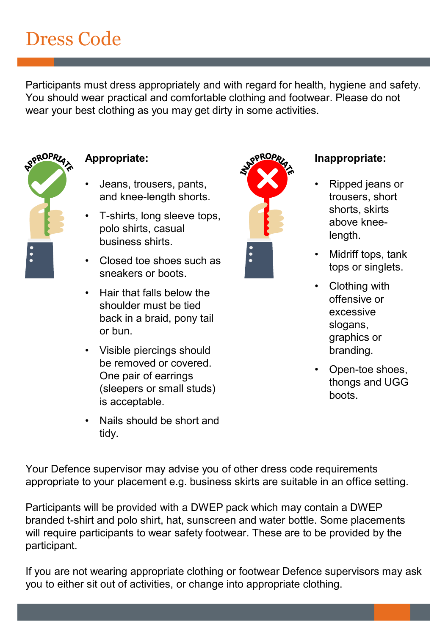### Dress Code

Participants must dress appropriately and with regard for health, hygiene and safety. You should wear practical and comfortable clothing and footwear. Please do not wear your best clothing as you may get dirty in some activities.



#### **Appropriate:**

- Jeans, trousers, pants, and knee-length shorts.
- T-shirts, long sleeve tops, polo shirts, casual business shirts.
- Closed toe shoes such as sneakers or boots.
- Hair that falls below the shoulder must be tied back in a braid, pony tail or bun.
- Visible piercings should be removed or covered. One pair of earrings (sleepers or small studs) is acceptable.
- Nails should be short and tidy.



#### **Inappropriate:**

- Ripped jeans or trousers, short shorts, skirts above kneelength.
- Midriff tops, tank tops or singlets.
- Clothing with offensive or excessive slogans, graphics or branding.
- Open-toe shoes, thongs and UGG boots.

Your Defence supervisor may advise you of other dress code requirements appropriate to your placement e.g. business skirts are suitable in an office setting.

Participants will be provided with a DWEP pack which may contain a DWEP branded t-shirt and polo shirt, hat, sunscreen and water bottle. Some placements will require participants to wear safety footwear. These are to be provided by the participant.

If you are not wearing appropriate clothing or footwear Defence supervisors may ask you to either sit out of activities, or change into appropriate clothing.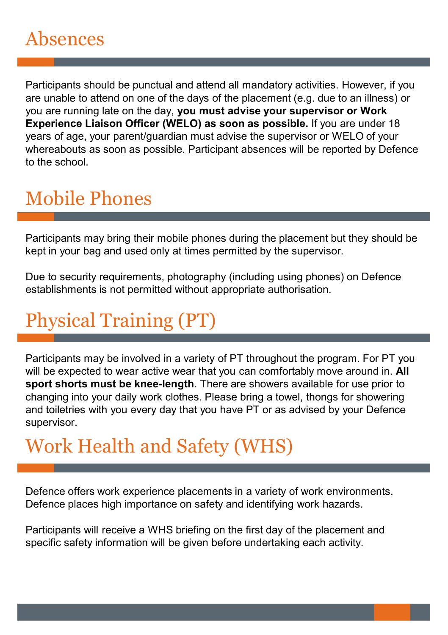Participants should be punctual and attend all mandatory activities. However, if you are unable to attend on one of the days of the placement (e.g. due to an illness) or you are running late on the day, **you must advise your supervisor or Work Experience Liaison Officer (WELO) as soon as possible.** If you are under 18 years of age, your parent/guardian must advise the supervisor or WELO of your whereabouts as soon as possible. Participant absences will be reported by Defence to the school.

## Mobile Phones

Participants may bring their mobile phones during the placement but they should be kept in your bag and used only at times permitted by the supervisor.

Due to security requirements, photography (including using phones) on Defence establishments is not permitted without appropriate authorisation.

## Physical Training (PT)

Participants may be involved in a variety of PT throughout the program. For PT you will be expected to wear active wear that you can comfortably move around in. **All sport shorts must be knee-length**. There are showers available for use prior to changing into your daily work clothes. Please bring a towel, thongs for showering and toiletries with you every day that you have PT or as advised by your Defence supervisor.

### Work Health and Safety (WHS)

Defence offers work experience placements in a variety of work environments. Defence places high importance on safety and identifying work hazards.

Participants will receive a WHS briefing on the first day of the placement and specific safety information will be given before undertaking each activity.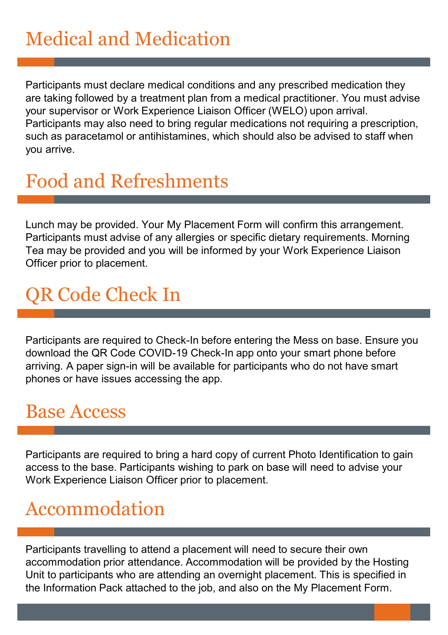### Medical and Medication

Participants must declare medical conditions and any prescribed medication they are taking followed by a treatment plan from a medical practitioner. You must advise your supervisor or Work Experience Liaison Officer (WELO) upon arrival. Participants may also need to bring regular medications not requiring a prescription, such as paracetamol or antihistamines, which should also be advised to staff when you arrive.

#### Food and Refreshments

Lunch may be provided. Your My Placement Form will confirm this arrangement. Participants must advise of any allergies or specific dietary requirements. Morning Tea may be provided and you will be informed by your Work Experience Liaison Officer prior to placement.

### QR Code Check In

Participants are required to Check-In before entering the Mess on base. Ensure you download the QR Code COVID-19 Check-In app onto your smart phone before arriving. A paper sign-in will be available for participants who do not have smart phones or have issues accessing the app.

#### Base Access

Participants are required to bring a hard copy of current Photo Identification to gain access to the base. Participants wishing to park on base will need to advise your Work Experience Liaison Officer prior to placement.

#### Accommodation

Participants travelling to attend a placement will need to secure their own accommodation prior attendance. Accommodation will be provided by the Hosting Unit to participants who are attending an overnight placement. This is specified in the Information Pack attached to the job, and also on the My Placement Form.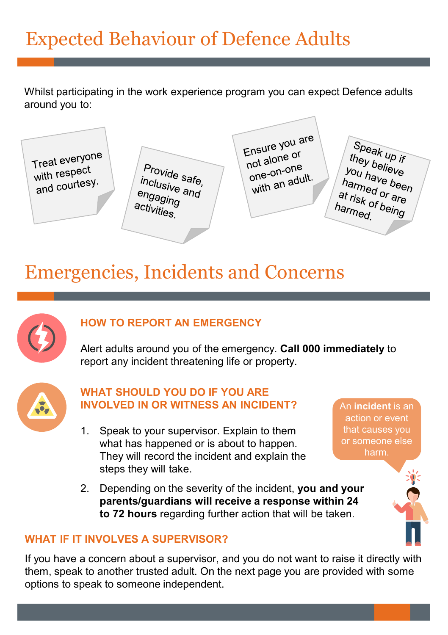### Expected Behaviour of Defence Adults

Whilst participating in the work experience program you can expect Defence adults around you to:

Treat everyone with respect with respectively.

Provide safe, inclusive safe,<br>inclusive and<br>enganing engaging<br>engaging activities.

Ensure you are Ensure your<br>not alone or not alone<br>one-on-one<br>adu one-on-one<br>with an adult.

Speak up if<br>they boll they believe<br>Wey believe *ney believe*<br>you have been<br><sup>harmed</sup> or you have beel<br>harmed or are<br>at risk of bei armed or are<br>at risk of being<br><sup>harm</sup>ed harmed.

### Emergencies, Incidents and Concerns



#### **HOW TO REPORT AN EMERGENCY**

Alert adults around you of the emergency. **Call 000 immediately** to report any incident threatening life or property.



#### **WHAT SHOULD YOU DO IF YOU ARE INVOLVED IN OR WITNESS AN INCIDENT?**

- 1. Speak to your supervisor. Explain to them what has happened or is about to happen. They will record the incident and explain the steps they will take.
- 2. Depending on the severity of the incident, **you and your parents/guardians will receive a response within 24 to 72 hours** regarding further action that will be taken.

An **incident** is an action or event that causes you or someone else harm.

#### **WHAT IF IT INVOLVES A SUPERVISOR?**

If you have a concern about a supervisor, and you do not want to raise it directly with them, speak to another trusted adult. On the next page you are provided with some options to speak to someone independent.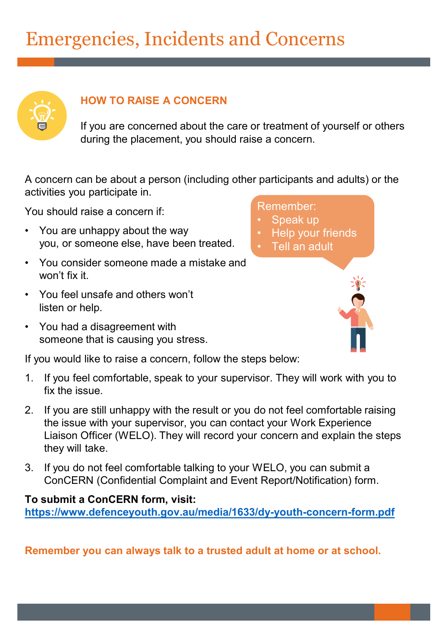### Emergencies, Incidents and Concerns



#### **HOW TO RAISE A CONCERN**

If you are concerned about the care or treatment of yourself or others during the placement, you should raise a concern.

> Remember: Speak up

> > **Help your friends** • Tell an adult

A concern can be about a person (including other participants and adults) or the activities you participate in.

You should raise a concern if:

- You are unhappy about the way you, or someone else, have been treated.
- You consider someone made a mistake and won't fix it.
- You feel unsafe and others won't listen or help.
- You had a disagreement with someone that is causing you stress.

If you would like to raise a concern, follow the steps below:

- 1. If you feel comfortable, speak to your supervisor. They will work with you to fix the issue.
- 2. If you are still unhappy with the result or you do not feel comfortable raising the issue with your supervisor, you can contact your Work Experience Liaison Officer (WELO). They will record your concern and explain the steps they will take.
- 3. If you do not feel comfortable talking to your WELO, you can submit a ConCERN (Confidential Complaint and Event Report/Notification) form.

#### **To submit a ConCERN form, visit:**

**<https://www.defenceyouth.gov.au/media/1633/dy-youth-concern-form.pdf>**

**Remember you can always talk to a trusted adult at home or at school.**